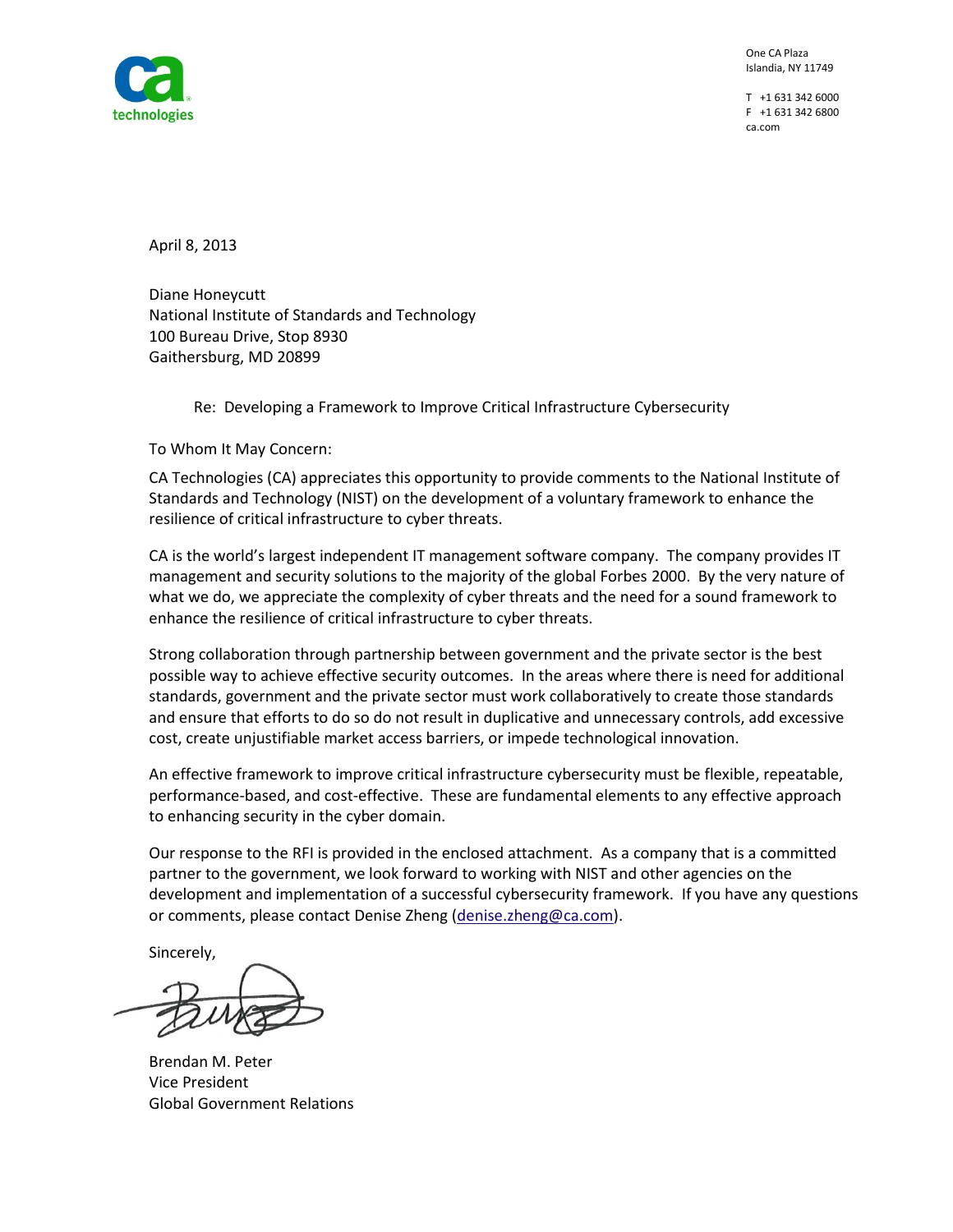

 One CA Plaza Islandia, NY 11749

T +1 631 342 6000 F +1 631 342 6800 ca.com

April 8, 2013

 100 Bureau Drive, Stop 8930 Gaithersburg, MD 20899 Diane Honeycutt National Institute of Standards and Technology

Re: Developing a Framework to Improve Critical Infrastructure Cybersecurity

To Whom It May Concern:

 CA Technologies (CA) appreciates this opportunity to provide comments to the National Institute of Standards and Technology (NIST) on the development of a voluntary framework to enhance the resilience of critical infrastructure to cyber threats.

CA is the world's largest independent IT management software company. The company provides IT management and security solutions to the majority of the global Forbes 2000. By the very nature of what we do, we appreciate the complexity of cyber threats and the need for a sound framework to enhance the resilience of critical infrastructure to cyber threats.

 standards, government and the private sector must work collaboratively to create those standards and ensure that efforts to do so do not result in duplicative and unnecessary controls, add excessive Strong collaboration through partnership between government and the private sector is the best possible way to achieve effective security outcomes. In the areas where there is need for additional cost, create unjustifiable market access barriers, or impede technological innovation.

An effective framework to improve critical infrastructure cybersecurity must be flexible, repeatable, performance-based, and cost-effective. These are fundamental elements to any effective approach to enhancing security in the cyber domain.

 development and implementation of a successful cybersecurity framework. If you have any questions Our response to the RFI is provided in the enclosed attachment. As a company that is a committed partner to the government, we look forward to working with NIST and other agencies on the or comments, please contact Denise Zheng [\(denise.zheng@ca.com\)](mailto:denise.zheng@ca.com).

Sincerely,

Brendan M. Peter Vice President Global Government Relations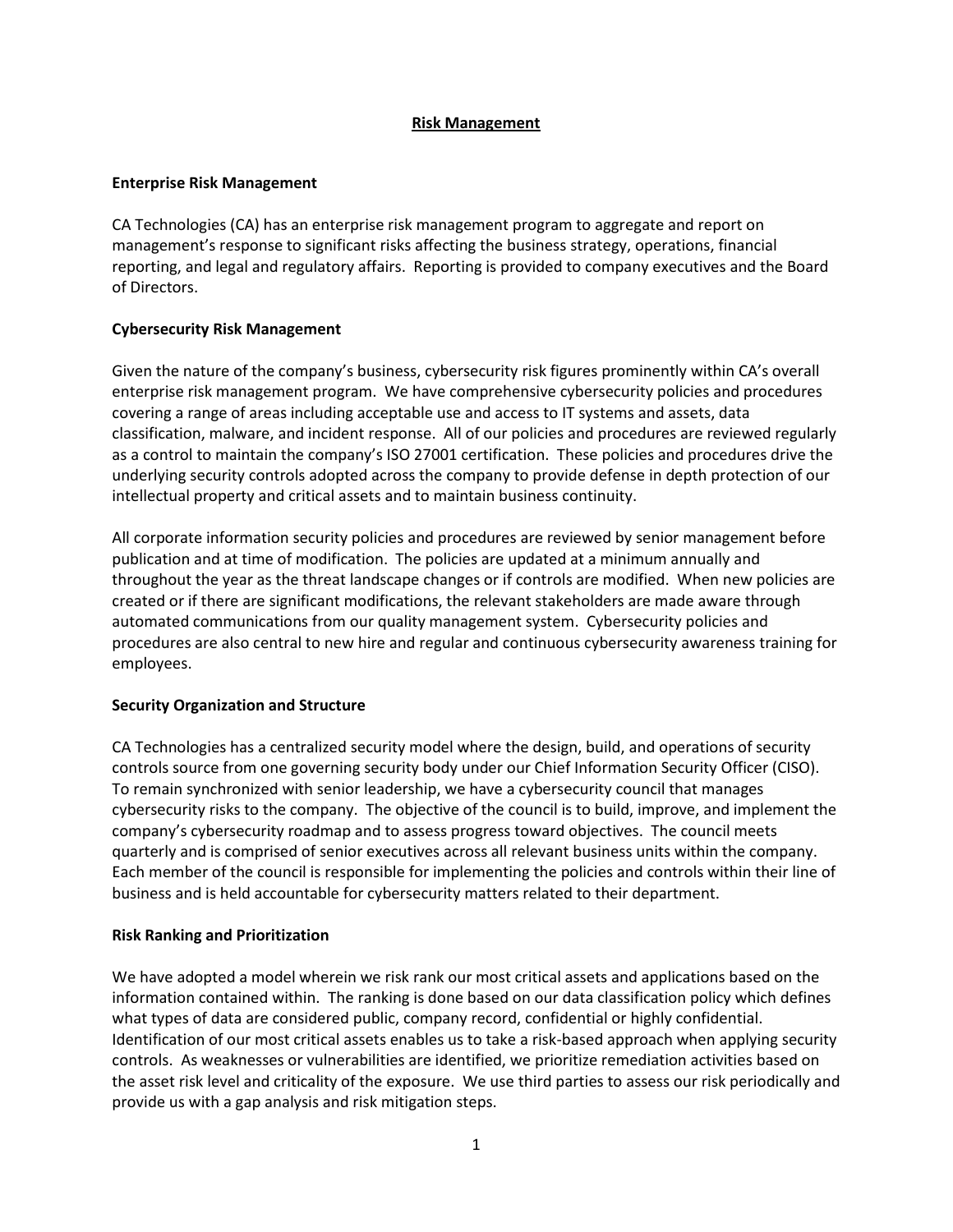## **Risk Management**

## **Enterprise Risk Management**

CA Technologies (CA) has an enterprise risk management program to aggregate and report on management's response to significant risks affecting the business strategy, operations, financial reporting, and legal and regulatory affairs. Reporting is provided to company executives and the Board of Directors.

## **Cybersecurity Risk Management**

Given the nature of the company's business, cybersecurity risk figures prominently within CA's overall enterprise risk management program. We have comprehensive cybersecurity policies and procedures covering a range of areas including acceptable use and access to IT systems and assets, data classification, malware, and incident response. All of our policies and procedures are reviewed regularly as a control to maintain the company's ISO 27001 certification. These policies and procedures drive the underlying security controls adopted across the company to provide defense in depth protection of our intellectual property and critical assets and to maintain business continuity.

 throughout the year as the threat landscape changes or if controls are modified. When new policies are automated communications from our quality management system. Cybersecurity policies and All corporate information security policies and procedures are reviewed by senior management before publication and at time of modification. The policies are updated at a minimum annually and created or if there are significant modifications, the relevant stakeholders are made aware through procedures are also central to new hire and regular and continuous cybersecurity awareness training for employees.

## **Security Organization and Structure**

 quarterly and is comprised of senior executives across all relevant business units within the company. CA Technologies has a centralized security model where the design, build, and operations of security controls source from one governing security body under our Chief Information Security Officer (CISO). To remain synchronized with senior leadership, we have a cybersecurity council that manages cybersecurity risks to the company. The objective of the council is to build, improve, and implement the company's cybersecurity roadmap and to assess progress toward objectives. The council meets Each member of the council is responsible for implementing the policies and controls within their line of business and is held accountable for cybersecurity matters related to their department.

# **Risk Ranking and Prioritization**

 We have adopted a model wherein we risk rank our most critical assets and applications based on the controls. As weaknesses or vulnerabilities are identified, we prioritize remediation activities based on information contained within. The ranking is done based on our data classification policy which defines what types of data are considered public, company record, confidential or highly confidential. Identification of our most critical assets enables us to take a risk-based approach when applying security the asset risk level and criticality of the exposure. We use third parties to assess our risk periodically and provide us with a gap analysis and risk mitigation steps.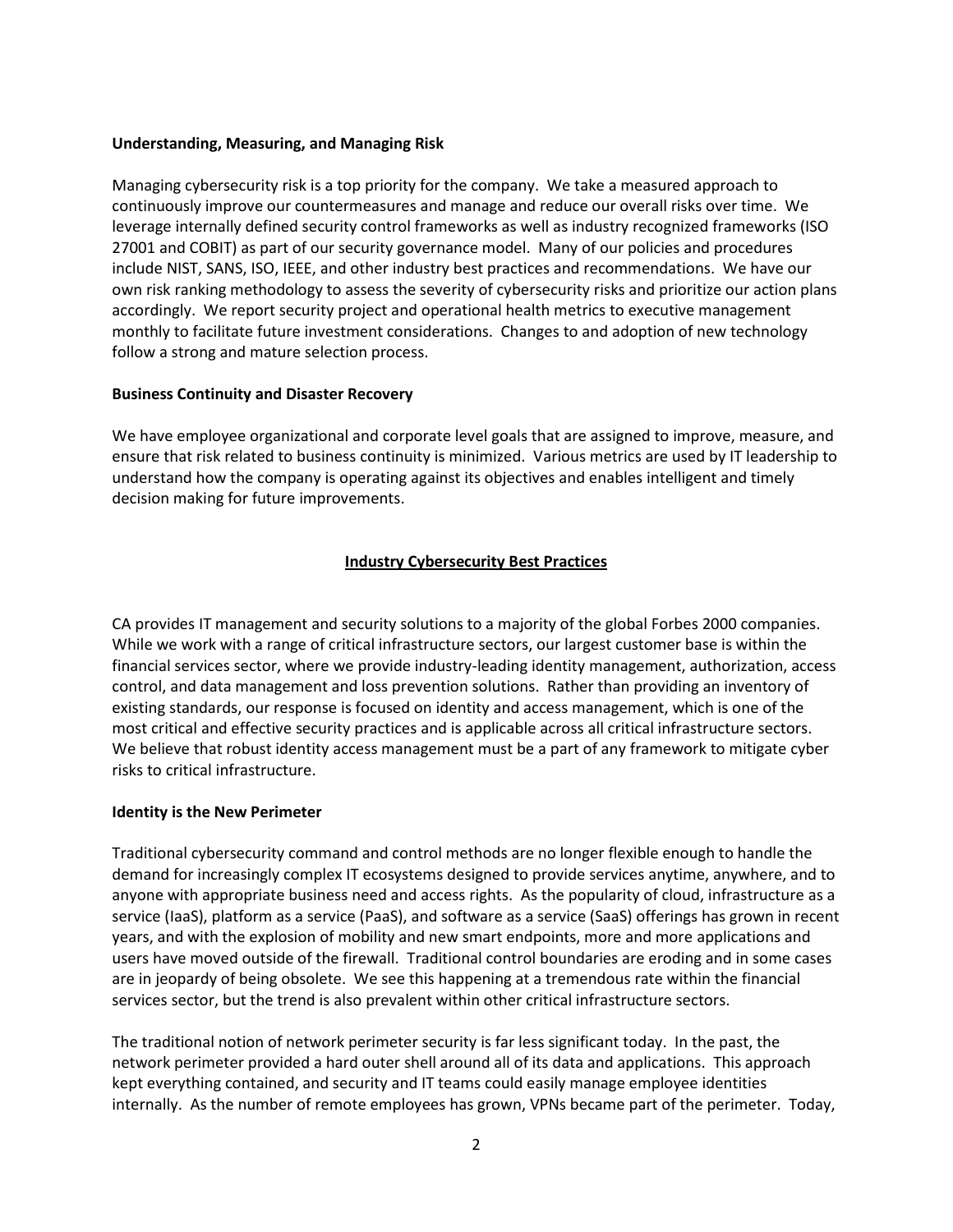### **Understanding, Measuring, and Managing Risk**

 Managing cybersecurity risk is a top priority for the company. We take a measured approach to continuously improve our countermeasures and manage and reduce our overall risks over time. We leverage internally defined security control frameworks as well as industry recognized frameworks (ISO 27001 and COBIT) as part of our security governance model. Many of our policies and procedures include NIST, SANS, ISO, IEEE, and other industry best practices and recommendations. We have our own risk ranking methodology to assess the severity of cybersecurity risks and prioritize our action plans accordingly. We report security project and operational health metrics to executive management monthly to facilitate future investment considerations. Changes to and adoption of new technology follow a strong and mature selection process.

### **Business Continuity and Disaster Recovery**

 ensure that risk related to business continuity is minimized. Various metrics are used by IT leadership to We have employee organizational and corporate level goals that are assigned to improve, measure, and understand how the company is operating against its objectives and enables intelligent and timely decision making for future improvements.

## **Industry Cybersecurity Best Practices**

 CA provides IT management and security solutions to a majority of the global Forbes 2000 companies. most critical and effective security practices and is applicable across all critical infrastructure sectors. While we work with a range of critical infrastructure sectors, our largest customer base is within the financial services sector, where we provide industry-leading identity management, authorization, access control, and data management and loss prevention solutions. Rather than providing an inventory of existing standards, our response is focused on identity and access management, which is one of the We believe that robust identity access management must be a part of any framework to mitigate cyber risks to critical infrastructure.

#### **Identity is the New Perimeter**

 users have moved outside of the firewall. Traditional control boundaries are eroding and in some cases Traditional cybersecurity command and control methods are no longer flexible enough to handle the demand for increasingly complex IT ecosystems designed to provide services anytime, anywhere, and to anyone with appropriate business need and access rights. As the popularity of cloud, infrastructure as a service (IaaS), platform as a service (PaaS), and software as a service (SaaS) offerings has grown in recent years, and with the explosion of mobility and new smart endpoints, more and more applications and are in jeopardy of being obsolete. We see this happening at a tremendous rate within the financial services sector, but the trend is also prevalent within other critical infrastructure sectors.

The traditional notion of network perimeter security is far less significant today. In the past, the network perimeter provided a hard outer shell around all of its data and applications. This approach kept everything contained, and security and IT teams could easily manage employee identities internally. As the number of remote employees has grown, VPNs became part of the perimeter. Today,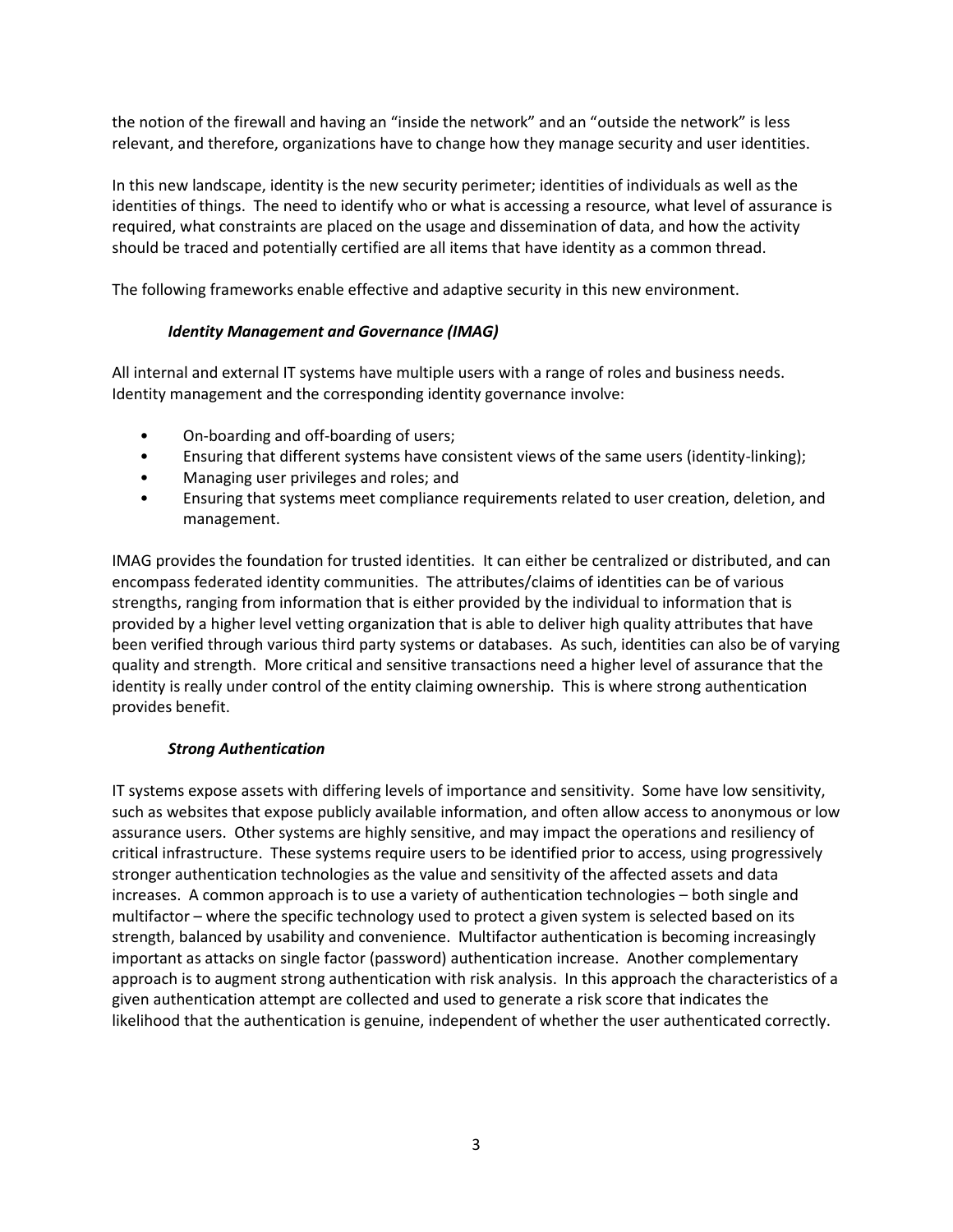the notion of the firewall and having an "inside the network" and an "outside the network" is less relevant, and therefore, organizations have to change how they manage security and user identities.

 should be traced and potentially certified are all items that have identity as a common thread. In this new landscape, identity is the new security perimeter; identities of individuals as well as the identities of things. The need to identify who or what is accessing a resource, what level of assurance is required, what constraints are placed on the usage and dissemination of data, and how the activity

The following frameworks enable effective and adaptive security in this new environment.

# *Identity Management and Governance (IMAG)*

All internal and external IT systems have multiple users with a range of roles and business needs. Identity management and the corresponding identity governance involve:

- On-boarding and off-boarding of users;
- Ensuring that different systems have consistent views of the same users (identity-linking);
- • Managing user privileges and roles; and
- Ensuring that systems meet compliance requirements related to user creation, deletion, and management.

 encompass federated identity communities. The attributes/claims of identities can be of various strengths, ranging from information that is either provided by the individual to information that is quality and strength. More critical and sensitive transactions need a higher level of assurance that the IMAG provides the foundation for trusted identities. It can either be centralized or distributed, and can provided by a higher level vetting organization that is able to deliver high quality attributes that have been verified through various third party systems or databases. As such, identities can also be of varying identity is really under control of the entity claiming ownership. This is where strong authentication provides benefit.

# *Strong Authentication*

 stronger authentication technologies as the value and sensitivity of the affected assets and data IT systems expose assets with differing levels of importance and sensitivity. Some have low sensitivity, such as websites that expose publicly available information, and often allow access to anonymous or low assurance users. Other systems are highly sensitive, and may impact the operations and resiliency of critical infrastructure. These systems require users to be identified prior to access, using progressively increases. A common approach is to use a variety of authentication technologies – both single and multifactor – where the specific technology used to protect a given system is selected based on its strength, balanced by usability and convenience. Multifactor authentication is becoming increasingly important as attacks on single factor (password) authentication increase. Another complementary approach is to augment strong authentication with risk analysis. In this approach the characteristics of a given authentication attempt are collected and used to generate a risk score that indicates the likelihood that the authentication is genuine, independent of whether the user authenticated correctly.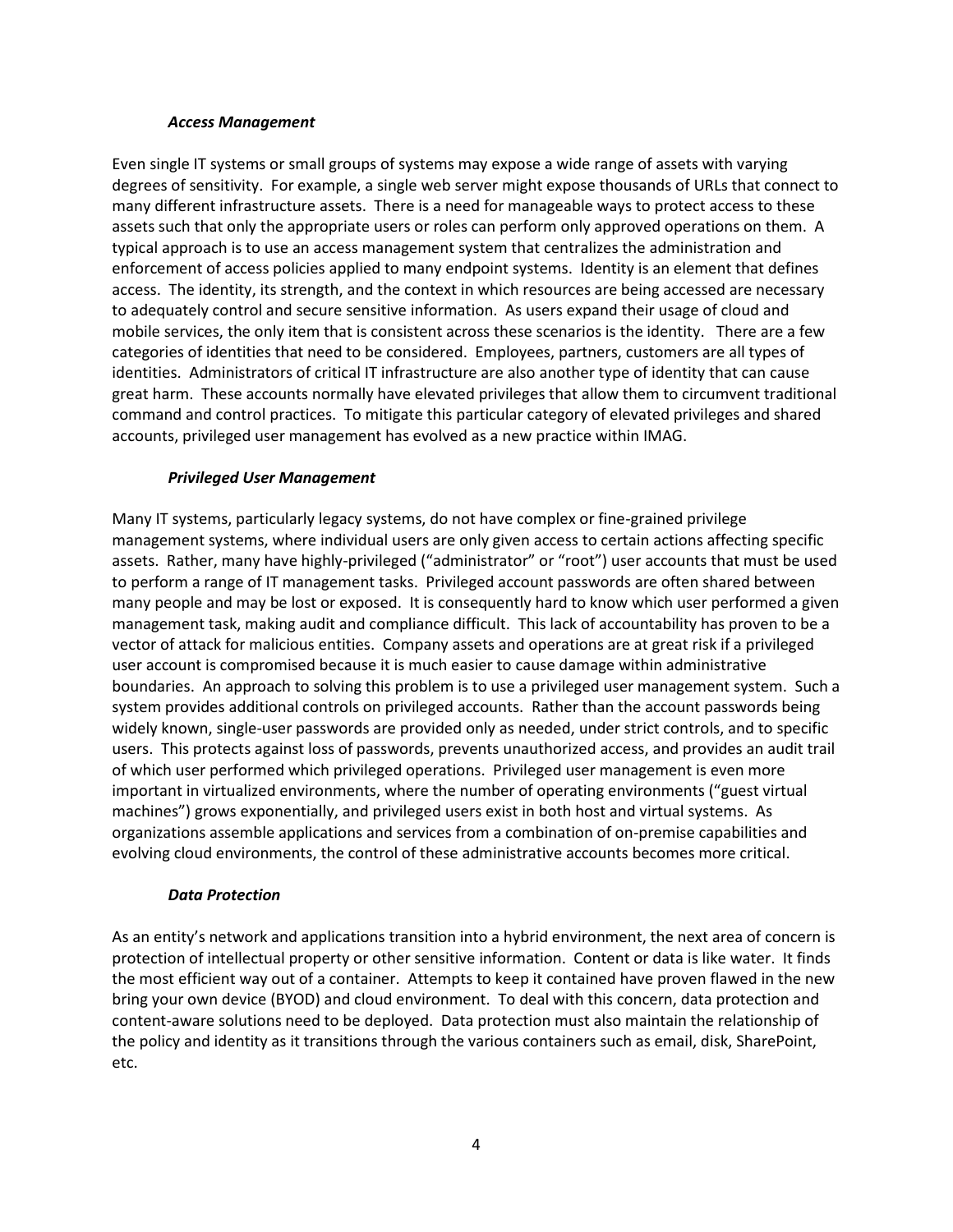#### *Access Management*

 many different infrastructure assets. There is a need for manageable ways to protect access to these enforcement of access policies applied to many endpoint systems. Identity is an element that defines Even single IT systems or small groups of systems may expose a wide range of assets with varying degrees of sensitivity. For example, a single web server might expose thousands of URLs that connect to assets such that only the appropriate users or roles can perform only approved operations on them. A typical approach is to use an access management system that centralizes the administration and access. The identity, its strength, and the context in which resources are being accessed are necessary to adequately control and secure sensitive information. As users expand their usage of cloud and mobile services, the only item that is consistent across these scenarios is the identity. There are a few categories of identities that need to be considered. Employees, partners, customers are all types of identities. Administrators of critical IT infrastructure are also another type of identity that can cause great harm. These accounts normally have elevated privileges that allow them to circumvent traditional command and control practices. To mitigate this particular category of elevated privileges and shared accounts, privileged user management has evolved as a new practice within IMAG.

## *Privileged User Management*

 evolving cloud environments, the control of these administrative accounts becomes more critical. Many IT systems, particularly legacy systems, do not have complex or fine-grained privilege management systems, where individual users are only given access to certain actions affecting specific assets. Rather, many have highly-privileged ("administrator" or "root") user accounts that must be used to perform a range of IT management tasks. Privileged account passwords are often shared between many people and may be lost or exposed. It is consequently hard to know which user performed a given management task, making audit and compliance difficult. This lack of accountability has proven to be a vector of attack for malicious entities. Company assets and operations are at great risk if a privileged user account is compromised because it is much easier to cause damage within administrative boundaries. An approach to solving this problem is to use a privileged user management system. Such a system provides additional controls on privileged accounts. Rather than the account passwords being widely known, single-user passwords are provided only as needed, under strict controls, and to specific users. This protects against loss of passwords, prevents unauthorized access, and provides an audit trail of which user performed which privileged operations. Privileged user management is even more important in virtualized environments, where the number of operating environments ("guest virtual machines") grows exponentially, and privileged users exist in both host and virtual systems. As organizations assemble applications and services from a combination of on-premise capabilities and

## *Data Protection*

 bring your own device (BYOD) and cloud environment. To deal with this concern, data protection and content-aware solutions need to be deployed. Data protection must also maintain the relationship of As an entity's network and applications transition into a hybrid environment, the next area of concern is protection of intellectual property or other sensitive information. Content or data is like water. It finds the most efficient way out of a container. Attempts to keep it contained have proven flawed in the new the policy and identity as it transitions through the various containers such as email, disk, SharePoint, etc.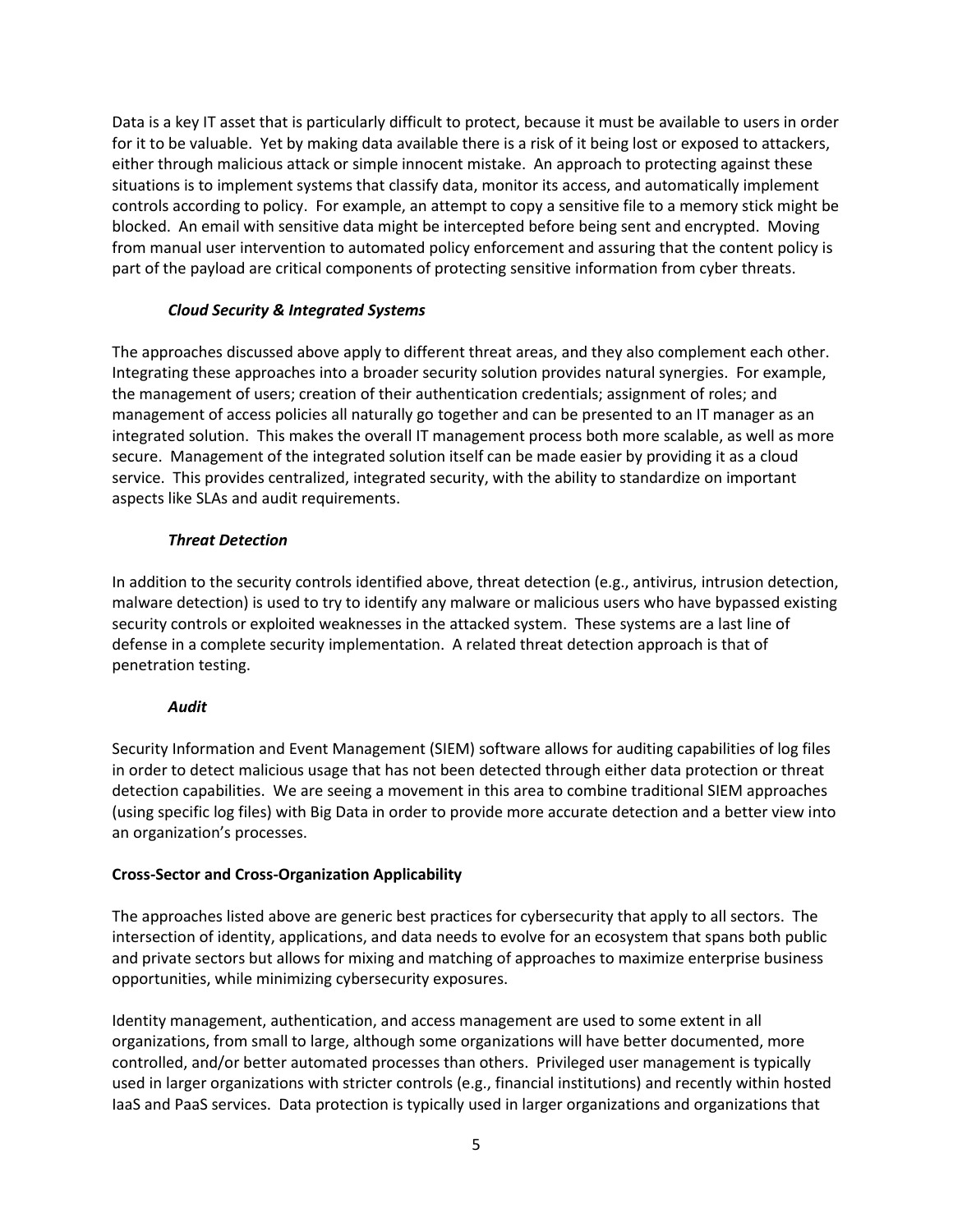controls according to policy. For example, an attempt to copy a sensitive file to a memory stick might be blocked. An email with sensitive data might be intercepted before being sent and encrypted. Moving Data is a key IT asset that is particularly difficult to protect, because it must be available to users in order for it to be valuable. Yet by making data available there is a risk of it being lost or exposed to attackers, either through malicious attack or simple innocent mistake. An approach to protecting against these situations is to implement systems that classify data, monitor its access, and automatically implement from manual user intervention to automated policy enforcement and assuring that the content policy is part of the payload are critical components of protecting sensitive information from cyber threats.

# *Cloud Security & Integrated Systems*

The approaches discussed above apply to different threat areas, and they also complement each other. Integrating these approaches into a broader security solution provides natural synergies. For example, the management of users; creation of their authentication credentials; assignment of roles; and management of access policies all naturally go together and can be presented to an IT manager as an integrated solution. This makes the overall IT management process both more scalable, as well as more secure. Management of the integrated solution itself can be made easier by providing it as a cloud service. This provides centralized, integrated security, with the ability to standardize on important aspects like SLAs and audit requirements.

# *Threat Detection*

In addition to the security controls identified above, threat detection (e.g., antivirus, intrusion detection, malware detection) is used to try to identify any malware or malicious users who have bypassed existing security controls or exploited weaknesses in the attacked system. These systems are a last line of defense in a complete security implementation. A related threat detection approach is that of penetration testing.

# *Audit*

Security Information and Event Management (SIEM) software allows for auditing capabilities of log files in order to detect malicious usage that has not been detected through either data protection or threat detection capabilities. We are seeing a movement in this area to combine traditional SIEM approaches (using specific log files) with Big Data in order to provide more accurate detection and a better view into an organization's processes.

# **Cross-Sector and Cross-Organization Applicability**

 opportunities, while minimizing cybersecurity exposures. The approaches listed above are generic best practices for cybersecurity that apply to all sectors. The intersection of identity, applications, and data needs to evolve for an ecosystem that spans both public and private sectors but allows for mixing and matching of approaches to maximize enterprise business

 Identity management, authentication, and access management are used to some extent in all organizations, from small to large, although some organizations will have better documented, more controlled, and/or better automated processes than others. Privileged user management is typically used in larger organizations with stricter controls (e.g., financial institutions) and recently within hosted IaaS and PaaS services. Data protection is typically used in larger organizations and organizations that